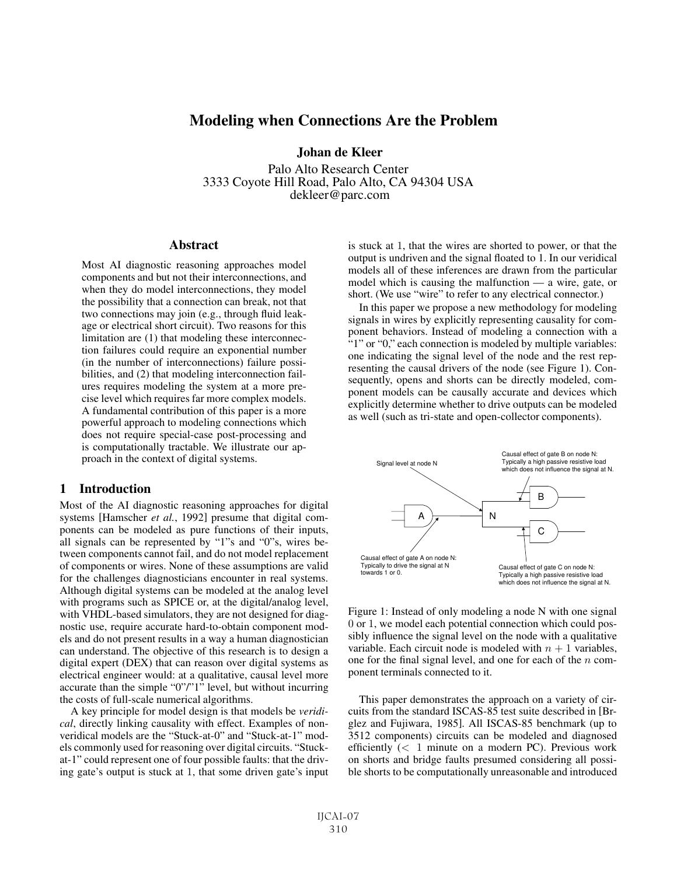# **Modeling when Connections Are the Problem**

Johan de Kleer

Palo Alto Research Center 3333 Coyote Hill Road, Palo Alto, CA 94304 USA dekleer@parc.com

#### **Abstract**

Most AI diagnostic reasoning approaches model components and but not their interconnections, and when they do model interconnections, they model the possibility that a connection can break, not that two connections may join (e.g., through fluid leakage or electrical short circuit). Two reasons for this limitation are (1) that modeling these interconnection failures could require an exponential number (in the number of interconnections) failure possibilities, and (2) that modeling interconnection failures requires modeling the system at a more precise level which requires far more complex models. A fundamental contribution of this paper is a more powerful approach to modeling connections which does not require special-case post-processing and is computationally tractable. We illustrate our approach in the context of digital systems.

#### 1 Introduction

Most of the AI diagnostic reasoning approaches for digital systems [Hamscher *et al.*, 1992] presume that digital components can be modeled as pure functions of their inputs, all signals can be represented by "1"s and "0"s, wires between components cannot fail, and do not model replacement of components or wires. None of these assumptions are valid for the challenges diagnosticians encounter in real systems. Although digital systems can be modeled at the analog level with programs such as SPICE or, at the digital/analog level, with VHDL-based simulators, they are not designed for diagnostic use, require accurate hard-to-obtain component models and do not present results in a way a human diagnostician can understand. The objective of this research is to design a digital expert (DEX) that can reason over digital systems as electrical engineer would: at a qualitative, causal level more accurate than the simple "0"/"1" level, but without incurring the costs of full-scale numerical algorithms.

A key principle for model design is that models be *veridical*, directly linking causality with effect. Examples of nonveridical models are the "Stuck-at-0" and "Stuck-at-1" models commonly used for reasoning over digital circuits. "Stuckat-1" could represent one of four possible faults: that the driving gate's output is stuck at 1, that some driven gate's input is stuck at 1, that the wires are shorted to power, or that the output is undriven and the signal floated to 1. In our veridical models all of these inferences are drawn from the particular model which is causing the malfunction — a wire, gate, or short. (We use "wire" to refer to any electrical connector.)

In this paper we propose a new methodology for modeling signals in wires by explicitly representing causality for component behaviors. Instead of modeling a connection with a "1" or "0," each connection is modeled by multiple variables: one indicating the signal level of the node and the rest representing the causal drivers of the node (see Figure 1). Consequently, opens and shorts can be directly modeled, component models can be causally accurate and devices which explicitly determine whether to drive outputs can be modeled as well (such as tri-state and open-collector components).



Figure 1: Instead of only modeling a node N with one signal 0 or 1, we model each potential connection which could possibly influence the signal level on the node with a qualitative variable. Each circuit node is modeled with  $n + 1$  variables, one for the final signal level, and one for each of the  $n$  component terminals connected to it.

This paper demonstrates the approach on a variety of circuits from the standard ISCAS-85 test suite described in [Brglez and Fujiwara, 1985]. All ISCAS-85 benchmark (up to 3512 components) circuits can be modeled and diagnosed efficiently  $(< 1$  minute on a modern PC). Previous work on shorts and bridge faults presumed considering all possible shorts to be computationally unreasonable and introduced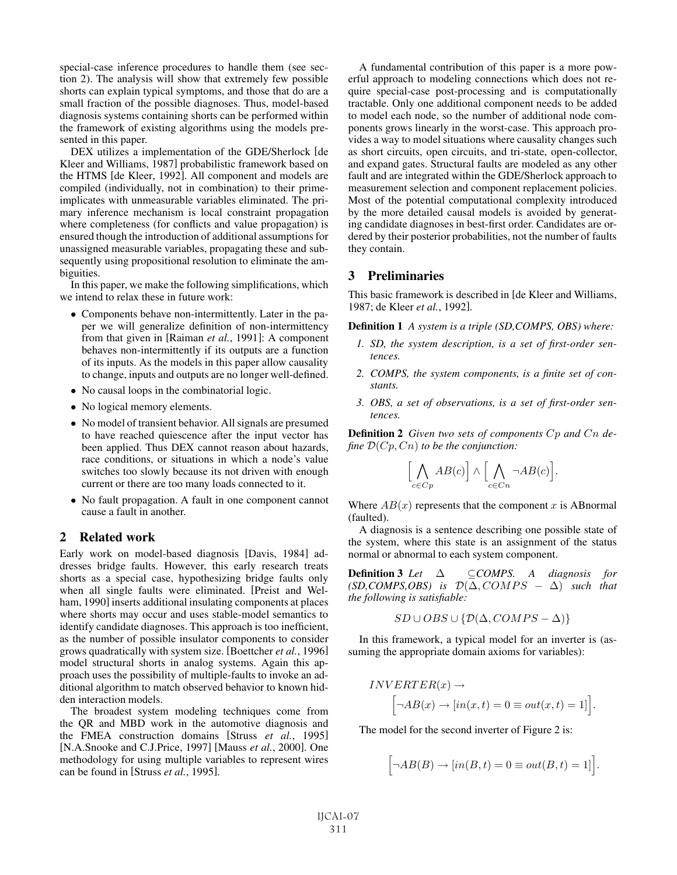special-case inference procedures to handle them (see section 2). The analysis will show that extremely few possible shorts can explain typical symptoms, and those that do are a small fraction of the possible diagnoses. Thus, model-based diagnosis systems containing shorts can be performed within the framework of existing algorithms using the models presented in this paper.

DEX utilizes a implementation of the GDE/Sherlock [de Kleer and Williams, 1987] probabilistic framework based on the HTMS [de Kleer, 1992]. All component and models are compiled (individually, not in combination) to their primeimplicates with unmeasurable variables eliminated. The primary inference mechanism is local constraint propagation where completeness (for conflicts and value propagation) is ensured though the introduction of additional assumptions for unassigned measurable variables, propagating these and subsequently using propositional resolution to eliminate the ambiguities.

In this paper, we make the following simplifications, which we intend to relax these in future work:

- Components behave non-intermittently. Later in the paper we will generalize definition of non-intermittency from that given in [Raiman *et al.*, 1991]: A component behaves non-intermittently if its outputs are a function of its inputs. As the models in this paper allow causality to change, inputs and outputs are no longer well-defined.
- No causal loops in the combinatorial logic.
- No logical memory elements.
- No model of transient behavior. All signals are presumed to have reached quiescence after the input vector has been applied. Thus DEX cannot reason about hazards, race conditions, or situations in which a node's value switches too slowly because its not driven with enough current or there are too many loads connected to it.
- No fault propagation. A fault in one component cannot cause a fault in another.

### 2 Related work

Early work on model-based diagnosis [Davis, 1984] addresses bridge faults. However, this early research treats shorts as a special case, hypothesizing bridge faults only when all single faults were eliminated. [Preist and Welham, 1990] inserts additional insulating components at places where shorts may occur and uses stable-model semantics to identify candidate diagnoses. This approach is too inefficient, as the number of possible insulator components to consider grows quadratically with system size. [Boettcher *et al.*, 1996] model structural shorts in analog systems. Again this approach uses the possibility of multiple-faults to invoke an additional algorithm to match observed behavior to known hidden interaction models.

The broadest system modeling techniques come from the QR and MBD work in the automotive diagnosis and the FMEA construction domains [Struss *et al.*, 1995] [N.A.Snooke and C.J.Price, 1997] [Mauss *et al.*, 2000]. One methodology for using multiple variables to represent wires can be found in [Struss *et al.*, 1995].

A fundamental contribution of this paper is a more powerful approach to modeling connections which does not require special-case post-processing and is computationally tractable. Only one additional component needs to be added to model each node, so the number of additional node components grows linearly in the worst-case. This approach provides a way to model situations where causality changes such as short circuits, open circuits, and tri-state, open-collector, and expand gates. Structural faults are modeled as any other fault and are integrated within the GDE/Sherlock approach to measurement selection and component replacement policies. Most of the potential computational complexity introduced by the more detailed causal models is avoided by generating candidate diagnoses in best-first order. Candidates are ordered by their posterior probabilities, not the number of faults they contain.

#### 3 Preliminaries

This basic framework is described in [de Kleer and Williams, 1987; de Kleer *et al.*, 1992].

Definition 1 *A system is a triple (SD,COMPS, OBS) where:*

- *1. SD, the system description, is a set of first-order sentences.*
- *2. COMPS, the system components, is a finite set of constants.*
- *3. OBS, a set of observations, is a set of first-order sentences.*

Definition 2 *Given two sets of components* Cp *and* Cn *define* D(Cp, Cn) *to be the conjunction:*

$$
\Bigl[\bigwedge_{c \in Cp} AB(c)\Bigr] \wedge \Bigl[\bigwedge_{c \in Cn} \neg AB(c)\Bigr].
$$

Where  $AB(x)$  represents that the component x is ABnormal (faulted).

A diagnosis is a sentence describing one possible state of the system, where this state is an assignment of the status normal or abnormal to each system component.

**Definition 3** *Let* Δ ⊂*COMPS*. A diagnosis for  $(SD, COMPS, OBS)$  *is*  $D(\Delta, COMPS - \Delta)$  *such that the following is satisfiable:*

$$
SD \cup OBS \cup \{ \mathcal{D}(\Delta, COMPS - \Delta) \}
$$

In this framework, a typical model for an inverter is (assuming the appropriate domain axioms for variables):

$$
INVERTER(x) \rightarrow
$$
  

$$
\Big[\neg AB(x) \rightarrow [in(x, t) = 0 \equiv out(x, t) = 1]\Big].
$$

The model for the second inverter of Figure 2 is:

$$
[\neg AB(B) \to [in(B, t) = 0 \equiv out(B, t) = 1].
$$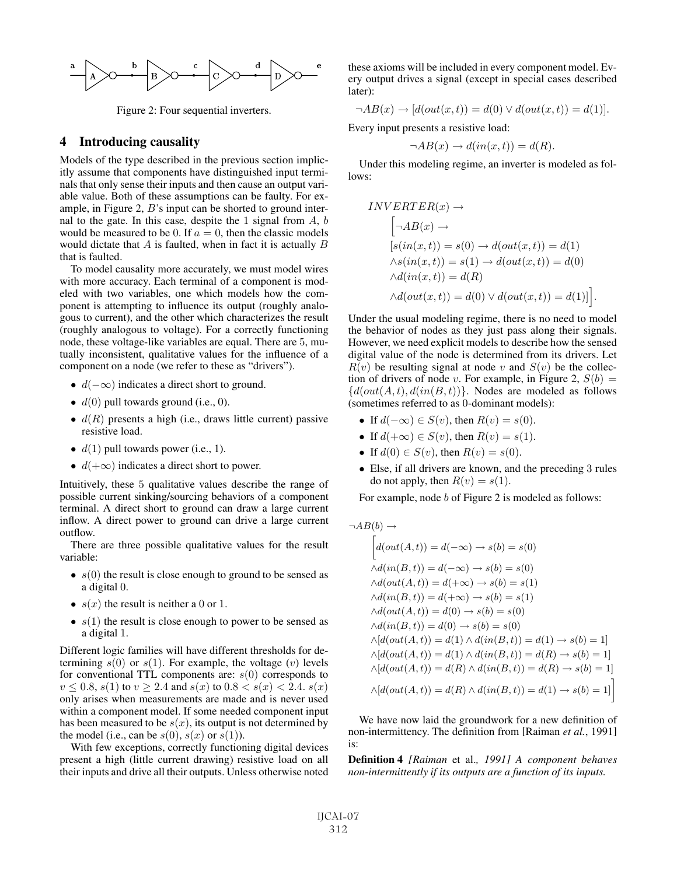

Figure 2: Four sequential inverters.

#### 4 Introducing causality

Models of the type described in the previous section implicitly assume that components have distinguished input terminals that only sense their inputs and then cause an output variable value. Both of these assumptions can be faulty. For example, in Figure 2, B's input can be shorted to ground internal to the gate. In this case, despite the 1 signal from  $A, b$ would be measured to be 0. If  $a = 0$ , then the classic models would dictate that A is faulted, when in fact it is actually B that is faulted.

To model causality more accurately, we must model wires with more accuracy. Each terminal of a component is modeled with two variables, one which models how the component is attempting to influence its output (roughly analogous to current), and the other which characterizes the result (roughly analogous to voltage). For a correctly functioning node, these voltage-like variables are equal. There are 5, mutually inconsistent, qualitative values for the influence of a component on a node (we refer to these as "drivers").

- $d(-\infty)$  indicates a direct short to ground.
- $\bullet$   $d(0)$  pull towards ground (i.e., 0).
- $d(R)$  presents a high (i.e., draws little current) passive resistive load.
- $d(1)$  pull towards power (i.e., 1).
- $d(+\infty)$  indicates a direct short to power.

Intuitively, these 5 qualitative values describe the range of possible current sinking/sourcing behaviors of a component terminal. A direct short to ground can draw a large current inflow. A direct power to ground can drive a large current outflow.

There are three possible qualitative values for the result variable:

- $s(0)$  the result is close enough to ground to be sensed as a digital 0.
- $s(x)$  the result is neither a 0 or 1.
- $s(1)$  the result is close enough to power to be sensed as a digital 1.

Different logic families will have different thresholds for determining  $s(0)$  or  $s(1)$ . For example, the voltage (v) levels for conventional TTL components are:  $s(0)$  corresponds to  $v \le 0.8$ ,  $s(1)$  to  $v \ge 2.4$  and  $s(x)$  to  $0.8 < s(x) < 2.4$ .  $s(x)$ only arises when measurements are made and is never used within a component model. If some needed component input has been measured to be  $s(x)$ , its output is not determined by the model (i.e., can be  $s(0)$ ,  $s(x)$  or  $s(1)$ ).

With few exceptions, correctly functioning digital devices present a high (little current drawing) resistive load on all their inputs and drive all their outputs. Unless otherwise noted these axioms will be included in every component model. Every output drives a signal (except in special cases described later):

$$
\neg AB(x) \rightarrow [d(out(x, t)) = d(0) \lor d(out(x, t)) = d(1)].
$$

Every input presents a resistive load:

$$
\neg AB(x) \to d(in(x,t)) = d(R).
$$

Under this modeling regime, an inverter is modeled as follows:

$$
INVERTER(x) \rightarrow
$$
  
\n
$$
[\neg AB(x) \rightarrow
$$
  
\n
$$
[s(in(x, t)) = s(0) \rightarrow d(out(x, t)) = d(1)
$$
  
\n
$$
\land s(in(x, t)) = s(1) \rightarrow d(out(x, t)) = d(0)
$$
  
\n
$$
\land d(in(x, t)) = d(R)
$$
  
\n
$$
\land d(out(x, t)) = d(0) \lor d(out(x, t)) = d(1)]
$$
.

Under the usual modeling regime, there is no need to model the behavior of nodes as they just pass along their signals. However, we need explicit models to describe how the sensed digital value of the node is determined from its drivers. Let  $R(v)$  be resulting signal at node v and  $S(v)$  be the collection of drivers of node v. For example, in Figure 2,  $S(b) =$  ${d(out(A, t), d(in(B, t))}.$  Nodes are modeled as follows (sometimes referred to as 0-dominant models):

- If  $d(-\infty) \in S(v)$ , then  $R(v) = s(0)$ .
- If  $d(+\infty) \in S(v)$ , then  $R(v) = s(1)$ .
- If  $d(0) \in S(v)$ , then  $R(v) = s(0)$ .
- Else, if all drivers are known, and the preceding 3 rules do not apply, then  $R(v) = s(1)$ .

For example, node *b* of Figure 2 is modeled as follows:

$$
\neg AB(b) \rightarrow
$$
  
\n
$$
\begin{aligned}\n\left[d(out(A,t)) = d(-\infty) \rightarrow s(b) = s(0) \\
\wedge d(in(B,t)) = d(-\infty) \rightarrow s(b) = s(0) \\
\wedge d(out(A,t)) = d(+\infty) \rightarrow s(b) = s(1) \\
\wedge d(in(B,t)) = d(+\infty) \rightarrow s(b) = s(1) \\
\wedge d(out(A,t)) = d(0) \rightarrow s(b) = s(0) \\
\wedge d(in(B,t)) = d(0) \rightarrow s(b) = s(0) \\
\wedge [d(out(A,t)) = d(1) \land d(in(B,t)) = d(1) \rightarrow s(b) = 1] \\
\wedge [d(out(A,t)) = d(1) \land d(in(B,t)) = d(R) \rightarrow s(b) = 1] \\
\wedge [d(out(A,t)) = d(R) \land d(in(B,t)) = d(R) \rightarrow s(b) = 1] \\
\wedge [d(out(A,t)) = d(R) \land d(in(B,t)) = d(1) \rightarrow s(b) = 1]\n\end{aligned}
$$

We have now laid the groundwork for a new definition of non-intermittency. The definition from [Raiman *et al.*, 1991] is:

Definition 4 *[Raiman* et al.*, 1991] A component behaves non-intermittently if its outputs are a function of its inputs.*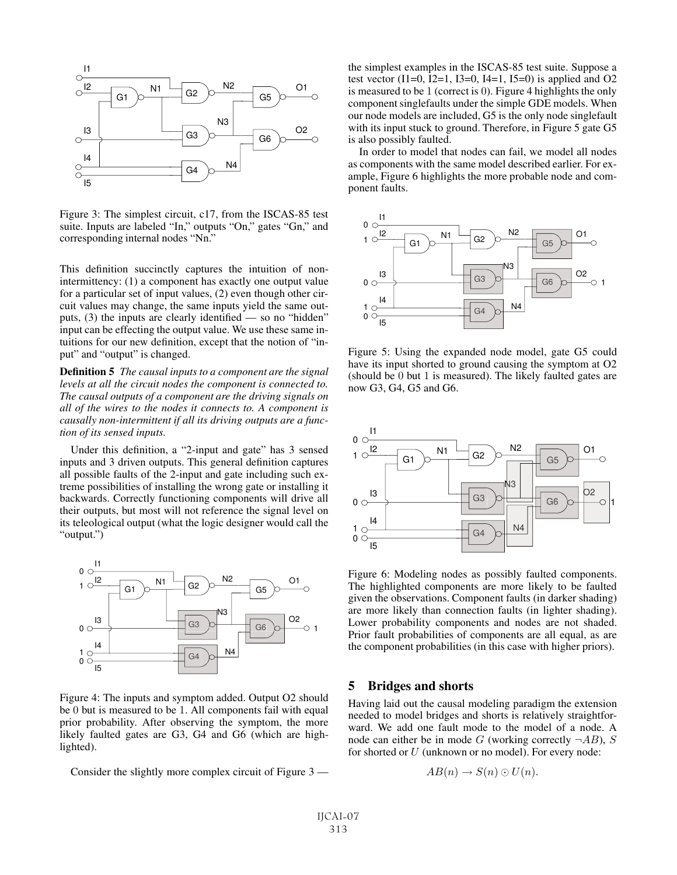

Figure 3: The simplest circuit, c17, from the ISCAS-85 test suite. Inputs are labeled "In," outputs "On," gates "Gn," and corresponding internal nodes "Nn."

This definition succinctly captures the intuition of nonintermittency: (1) a component has exactly one output value for a particular set of input values, (2) even though other circuit values may change, the same inputs yield the same outputs, (3) the inputs are clearly identified — so no "hidden" input can be effecting the output value. We use these same intuitions for our new definition, except that the notion of "input" and "output" is changed.

Definition 5 *The causal inputs to a component are the signal levels at all the circuit nodes the component is connected to. The causal outputs of a component are the driving signals on all of the wires to the nodes it connects to. A component is causally non-intermittent if all its driving outputs are a function of its sensed inputs.*

Under this definition, a "2-input and gate" has 3 sensed inputs and 3 driven outputs. This general definition captures all possible faults of the 2-input and gate including such extreme possibilities of installing the wrong gate or installing it backwards. Correctly functioning components will drive all their outputs, but most will not reference the signal level on its teleological output (what the logic designer would call the "output.")



Figure 4: The inputs and symptom added. Output O2 should be 0 but is measured to be 1. All components fail with equal prior probability. After observing the symptom, the more likely faulted gates are G3, G4 and G6 (which are highlighted).

Consider the slightly more complex circuit of Figure 3 —

the simplest examples in the ISCAS-85 test suite. Suppose a test vector  $(I1=0, I2=1, I3=0, I4=1, I5=0)$  is applied and O2 is measured to be 1 (correct is 0). Figure 4 highlights the only component singlefaults under the simple GDE models. When our node models are included, G5 is the only node singlefault with its input stuck to ground. Therefore, in Figure 5 gate G5 is also possibly faulted.

In order to model that nodes can fail, we model all nodes as components with the same model described earlier. For example, Figure 6 highlights the more probable node and component faults.



Figure 5: Using the expanded node model, gate G5 could have its input shorted to ground causing the symptom at O2 (should be 0 but 1 is measured). The likely faulted gates are now G3, G4, G5 and G6.



Figure 6: Modeling nodes as possibly faulted components. The highlighted components are more likely to be faulted given the observations. Component faults (in darker shading) are more likely than connection faults (in lighter shading). Lower probability components and nodes are not shaded. Prior fault probabilities of components are all equal, as are the component probabilities (in this case with higher priors).

## 5 Bridges and shorts

Having laid out the causal modeling paradigm the extension needed to model bridges and shorts is relatively straightforward. We add one fault mode to the model of a node. A node can either be in mode G (working correctly  $\neg AB$ ), S for shorted or  $U$  (unknown or no model). For every node:

$$
AB(n) \to S(n) \odot U(n).
$$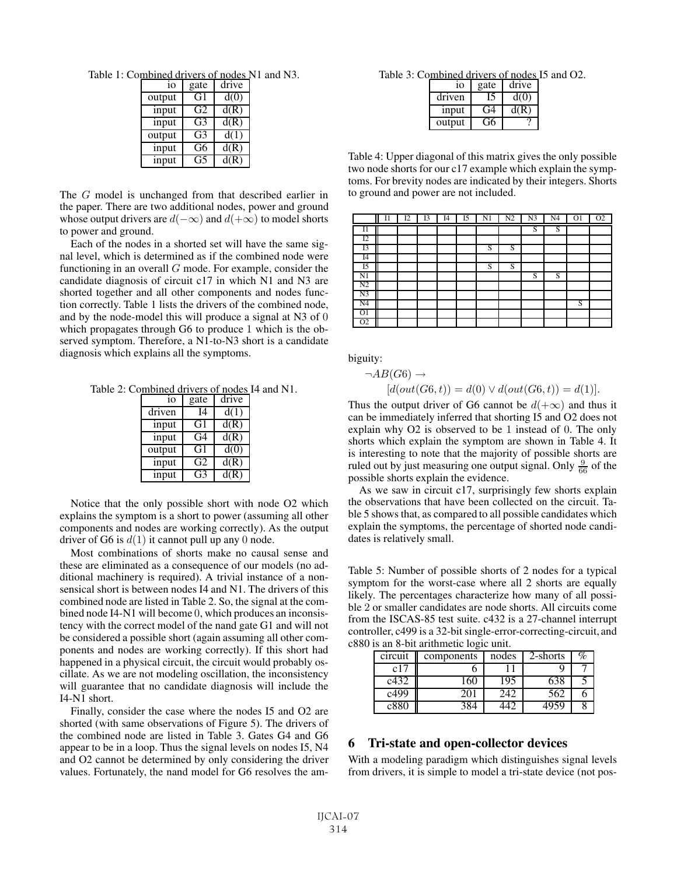Table 1: Combined drivers of nodes N1 and N3.

| 10     | gate           | drive |
|--------|----------------|-------|
| output | G1             | d(0)  |
| input  | G <sub>2</sub> | d(R)  |
| input  | G3             | d(R)  |
| output | G3             | d(1)  |
| input  | G6             | d(R)  |
| input  | G5             | d(R)  |

The G model is unchanged from that described earlier in the paper. There are two additional nodes, power and ground whose output drivers are  $d(-\infty)$  and  $d(+\infty)$  to model shorts to power and ground.

Each of the nodes in a shorted set will have the same signal level, which is determined as if the combined node were functioning in an overall  $G$  mode. For example, consider the candidate diagnosis of circuit c17 in which N1 and N3 are shorted together and all other components and nodes function correctly. Table 1 lists the drivers of the combined node, and by the node-model this will produce a signal at N3 of 0 which propagates through G6 to produce 1 which is the observed symptom. Therefore, a N1-to-N3 short is a candidate diagnosis which explains all the symptoms.

Table 2: Combined drivers of nodes I4 and N1.

| 10     | gate           | drive |
|--------|----------------|-------|
| driven | <b>I4</b>      | d(1)  |
| input  | G1             | d(R)  |
| input  | G4             | d(R)  |
| output | G1             | d(0)  |
| input  | G <sub>2</sub> | d(R)  |
| input  | G3             | d(R)  |

Notice that the only possible short with node O2 which explains the symptom is a short to power (assuming all other components and nodes are working correctly). As the output driver of G6 is  $d(1)$  it cannot pull up any 0 node.

Most combinations of shorts make no causal sense and these are eliminated as a consequence of our models (no additional machinery is required). A trivial instance of a nonsensical short is between nodes I4 and N1. The drivers of this combined node are listed in Table 2. So, the signal at the combined node I4-N1 will become 0, which produces an inconsistency with the correct model of the nand gate G1 and will not be considered a possible short (again assuming all other components and nodes are working correctly). If this short had happened in a physical circuit, the circuit would probably oscillate. As we are not modeling oscillation, the inconsistency will guarantee that no candidate diagnosis will include the I4-N1 short.

Finally, consider the case where the nodes I5 and O2 are shorted (with same observations of Figure 5). The drivers of the combined node are listed in Table 3. Gates G4 and G6 appear to be in a loop. Thus the signal levels on nodes I5, N4 and O2 cannot be determined by only considering the driver values. Fortunately, the nand model for G6 resolves the am-

Table 3: Combined drivers of nodes I5 and O2.

| 10                | gate | drive |
|-------------------|------|-------|
| driven            |      | d(0)  |
| 1 <sub>nput</sub> | F4   |       |
| output            |      |       |

Table 4: Upper diagonal of this matrix gives the only possible two node shorts for our c17 example which explain the symptoms. For brevity nodes are indicated by their integers. Shorts to ground and power are not included.

|                | 11 | I2 | 13 | I4 | I5 | N1 | N2 | N <sub>3</sub> | N <sub>4</sub> | O <sub>1</sub> | O <sub>2</sub> |
|----------------|----|----|----|----|----|----|----|----------------|----------------|----------------|----------------|
| $_{\rm II}$    |    |    |    |    |    |    |    | S              | S              |                |                |
| I2             |    |    |    |    |    |    |    |                |                |                |                |
| I3             |    |    |    |    |    | S  | S  |                |                |                |                |
| I <sub>4</sub> |    |    |    |    |    |    |    |                |                |                |                |
| I5             |    |    |    |    |    | S  | S  |                |                |                |                |
| N1             |    |    |    |    |    |    |    | S              | S              |                |                |
| N <sub>2</sub> |    |    |    |    |    |    |    |                |                |                |                |
| N <sub>3</sub> |    |    |    |    |    |    |    |                |                |                |                |
| N <sub>4</sub> |    |    |    |    |    |    |    |                |                | S              |                |
| O <sub>1</sub> |    |    |    |    |    |    |    |                |                |                |                |
| O <sub>2</sub> |    |    |    |    |    |    |    |                |                |                |                |

biguity:

$$
\neg AB(G6) \rightarrow [d(out(G6, t)) = d(0) \lor d(out(G6, t)) = d(1)].
$$

Thus the output driver of G6 cannot be  $d(+\infty)$  and thus it can be immediately inferred that shorting I5 and O2 does not explain why O2 is observed to be 1 instead of 0. The only shorts which explain the symptom are shown in Table 4. It is interesting to note that the majority of possible shorts are ruled out by just measuring one output signal. Only  $\frac{9}{66}$  of the possible shorts explain the evidence.

As we saw in circuit c17, surprisingly few shorts explain the observations that have been collected on the circuit. Table 5 shows that, as compared to all possible candidates which explain the symptoms, the percentage of shorted node candidates is relatively small.

Table 5: Number of possible shorts of 2 nodes for a typical symptom for the worst-case where all 2 shorts are equally likely. The percentages characterize how many of all possible 2 or smaller candidates are node shorts. All circuits come from the ISCAS-85 test suite. c432 is a 27-channel interrupt controller, c499 is a 32-bit single-error-correcting-circuit, and c880 is an 8-bit arithmetic logic unit.

| circuit | components | nodes | 2-shorts |  |  |  |  |  |  |
|---------|------------|-------|----------|--|--|--|--|--|--|
| c17     |            |       |          |  |  |  |  |  |  |
| c432    |            |       |          |  |  |  |  |  |  |
| c499    | 201        | 242   | 562      |  |  |  |  |  |  |
| c880    |            |       |          |  |  |  |  |  |  |

### 6 Tri-state and open-collector devices

With a modeling paradigm which distinguishes signal levels from drivers, it is simple to model a tri-state device (not pos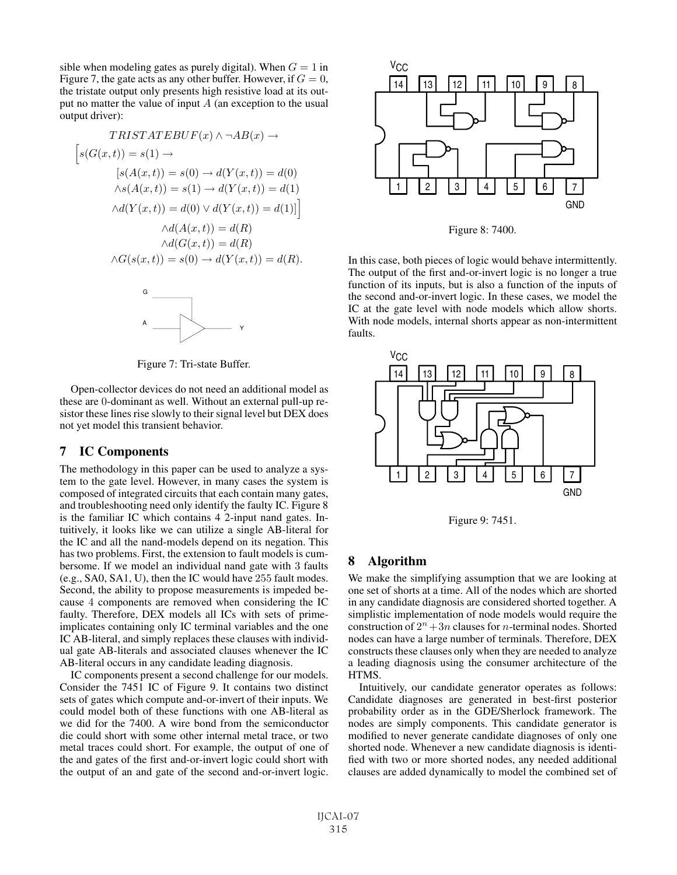sible when modeling gates as purely digital). When  $G = 1$  in Figure 7, the gate acts as any other buffer. However, if  $G = 0$ , the tristate output only presents high resistive load at its output no matter the value of input  $A$  (an exception to the usual output driver):

$$
TRISTATEBUF(x) \land \neg AB(x) \rightarrow
$$
  
\n
$$
[s(G(x, t)) = s(1) \rightarrow
$$
  
\n
$$
[s(A(x, t)) = s(0) \rightarrow d(Y(x, t)) = d(0)
$$
  
\n
$$
\land s(A(x, t)) = s(1) \rightarrow d(Y(x, t)) = d(1)
$$
  
\n
$$
\land d(Y(x, t)) = d(0) \lor d(Y(x, t)) = d(1)]
$$
  
\n
$$
\land d(A(x, t)) = d(R)
$$
  
\n
$$
\land d(G(x, t)) = d(R)
$$
  
\n
$$
\land G(s(x, t)) = s(0) \rightarrow d(Y(x, t)) = d(R).
$$



Figure 7: Tri-state Buffer.

Open-collector devices do not need an additional model as these are 0-dominant as well. Without an external pull-up resistor these lines rise slowly to their signal level but DEX does not yet model this transient behavior.

#### 7 IC Components

The methodology in this paper can be used to analyze a system to the gate level. However, in many cases the system is composed of integrated circuits that each contain many gates, and troubleshooting need only identify the faulty IC. Figure 8 is the familiar IC which contains 4 2-input nand gates. Intuitively, it looks like we can utilize a single AB-literal for the IC and all the nand-models depend on its negation. This has two problems. First, the extension to fault models is cumbersome. If we model an individual nand gate with 3 faults (e.g., SA0, SA1, U), then the IC would have 255 fault modes. Second, the ability to propose measurements is impeded because 4 components are removed when considering the IC faulty. Therefore, DEX models all ICs with sets of primeimplicates containing only IC terminal variables and the one IC AB-literal, and simply replaces these clauses with individual gate AB-literals and associated clauses whenever the IC AB-literal occurs in any candidate leading diagnosis.

IC components present a second challenge for our models. Consider the 7451 IC of Figure 9. It contains two distinct sets of gates which compute and-or-invert of their inputs. We could model both of these functions with one AB-literal as we did for the 7400. A wire bond from the semiconductor die could short with some other internal metal trace, or two metal traces could short. For example, the output of one of the and gates of the first and-or-invert logic could short with the output of an and gate of the second and-or-invert logic.



Figure 8: 7400.

In this case, both pieces of logic would behave intermittently. The output of the first and-or-invert logic is no longer a true function of its inputs, but is also a function of the inputs of the second and-or-invert logic. In these cases, we model the IC at the gate level with node models which allow shorts. With node models, internal shorts appear as non-intermittent faults.



Figure 9: 7451.

# 8 Algorithm

We make the simplifying assumption that we are looking at one set of shorts at a time. All of the nodes which are shorted in any candidate diagnosis are considered shorted together. A simplistic implementation of node models would require the construction of  $2^n + 3n$  clauses for *n*-terminal nodes. Shorted nodes can have a large number of terminals. Therefore, DEX constructs these clauses only when they are needed to analyze a leading diagnosis using the consumer architecture of the HTMS.

Intuitively, our candidate generator operates as follows: Candidate diagnoses are generated in best-first posterior probability order as in the GDE/Sherlock framework. The nodes are simply components. This candidate generator is modified to never generate candidate diagnoses of only one shorted node. Whenever a new candidate diagnosis is identified with two or more shorted nodes, any needed additional clauses are added dynamically to model the combined set of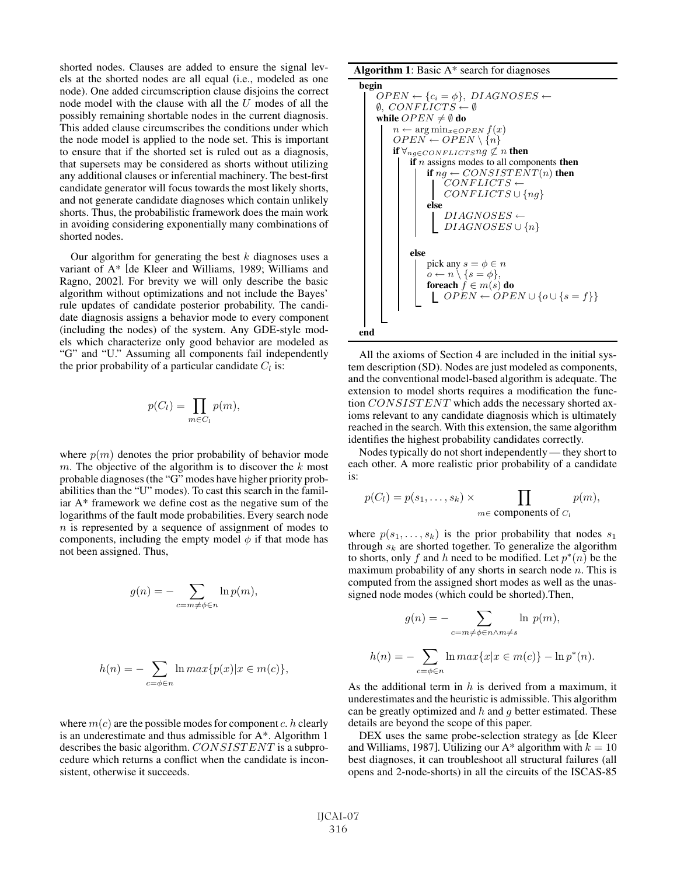shorted nodes. Clauses are added to ensure the signal levels at the shorted nodes are all equal (i.e., modeled as one node). One added circumscription clause disjoins the correct node model with the clause with all the  $U$  modes of all the possibly remaining shortable nodes in the current diagnosis. This added clause circumscribes the conditions under which the node model is applied to the node set. This is important to ensure that if the shorted set is ruled out as a diagnosis, that supersets may be considered as shorts without utilizing any additional clauses or inferential machinery. The best-first candidate generator will focus towards the most likely shorts, and not generate candidate diagnoses which contain unlikely shorts. Thus, the probabilistic framework does the main work in avoiding considering exponentially many combinations of shorted nodes.

Our algorithm for generating the best  $k$  diagnoses uses a variant of A\* [de Kleer and Williams, 1989; Williams and Ragno, 2002]. For brevity we will only describe the basic algorithm without optimizations and not include the Bayes' rule updates of candidate posterior probability. The candidate diagnosis assigns a behavior mode to every component (including the nodes) of the system. Any GDE-style models which characterize only good behavior are modeled as "G" and "U." Assuming all components fail independently the prior probability of a particular candidate  $C_l$  is:

$$
p(C_l) = \prod_{m \in C_l} p(m),
$$

where  $p(m)$  denotes the prior probability of behavior mode m. The objective of the algorithm is to discover the  $k$  most probable diagnoses (the "G" modes have higher priority probabilities than the "U" modes). To cast this search in the familiar A\* framework we define cost as the negative sum of the logarithms of the fault mode probabilities. Every search node n is represented by a sequence of assignment of modes to components, including the empty model  $\phi$  if that mode has not been assigned. Thus,

$$
g(n) = -\sum_{c=m \neq \phi \in n} \ln p(m),
$$

$$
h(n) = -\sum_{c=\phi \in n} \ln max\{p(x)|x \in m(c)\},\
$$

where  $m(c)$  are the possible modes for component c. h clearly is an underestimate and thus admissible for A\*. Algorithm 1 describes the basic algorithm. CONSISTENT is a subprocedure which returns a conflict when the candidate is inconsistent, otherwise it succeeds.

**Algorithm 1**: Basic 
$$
A^*
$$
 search for diagnoses

$$
\begin{array}{ll}\n\text{begin} & \text{OPEN} \leftarrow \{c_i = \phi\}, \;DIAGNOSES \leftarrow \\
\emptyset, \; CONFLICTS \leftarrow \emptyset \\
\text{while } OPEN \neq \emptyset \text{ do} \\
& n \leftarrow \text{arg min}_{x \in OPEN} f(x) \\
& OPEN \leftarrow OPEN \setminus \{n\} \\
\text{if } \forall_{ng \in CONFLICTS} \text{ up} \neq n \text{ then} \\
\text{if } n \text{ assigns modes to all components then} \\
& \text{if } ng \leftarrow CONSISTENT(n) \text{ then} \\
& CONFLICTS \leftarrow \\
 & CONFLICTS \cup \{ng\} \\
\text{else} \\
& DIAGNOSES \leftarrow \\
 & DIAGNOSES \cup \{n\} \\
\text{else} \\
 & pick any \, s = \phi \in n \\
\text{of } n \setminus \{s = \phi\}, \\
 & \text{foreach} \, f \in m(s) \text{ do} \\
 & \text{L } OPEN \leftarrow OPEN \cup \{o \cup \{s = f\}\}\n\end{array}
$$

All the axioms of Section 4 are included in the initial system description (SD). Nodes are just modeled as components, and the conventional model-based algorithm is adequate. The extension to model shorts requires a modification the function CONSISTENT which adds the necessary shorted axioms relevant to any candidate diagnosis which is ultimately reached in the search. With this extension, the same algorithm identifies the highest probability candidates correctly.

Nodes typically do not short independently — they short to each other. A more realistic prior probability of a candidate is:

$$
p(C_l) = p(s_1, \ldots, s_k) \times \prod_{m \in \text{components of } C_l} p(m),
$$

where  $p(s_1,...,s_k)$  is the prior probability that nodes  $s_1$ through  $s_k$  are shorted together. To generalize the algorithm to shorts, only f and h need to be modified. Let  $p^*(n)$  be the maximum probability of any shorts in search node  $n$ . This is computed from the assigned short modes as well as the unassigned node modes (which could be shorted).Then,

$$
g(n) = -\sum_{c=m \neq \phi \in n \wedge m \neq s} \ln p(m),
$$
  

$$
h(n) = -\sum_{c=\phi \in n} \ln \max\{x | x \in m(c)\} - \ln p^*(n).
$$

As the additional term in  $h$  is derived from a maximum, it underestimates and the heuristic is admissible. This algorithm can be greatly optimized and  $h$  and  $g$  better estimated. These details are beyond the scope of this paper.

DEX uses the same probe-selection strategy as [de Kleer and Williams, 1987]. Utilizing our A\* algorithm with  $k = 10$ best diagnoses, it can troubleshoot all structural failures (all opens and 2-node-shorts) in all the circuits of the ISCAS-85